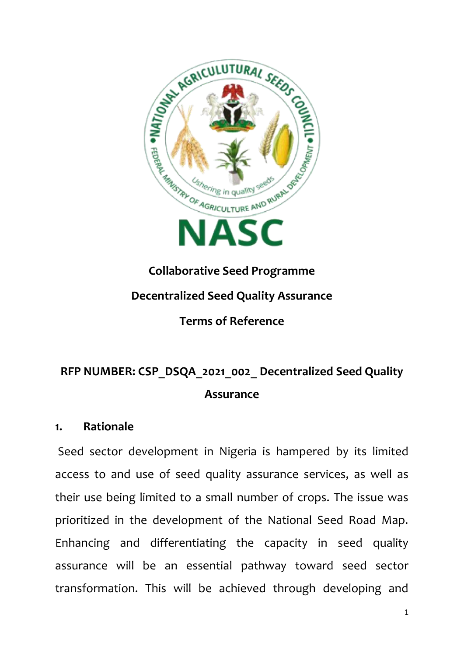

# **Collaborative Seed Programme Decentralized Seed Quality Assurance Terms of Reference**

# **RFP NUMBER: CSP\_DSQA\_2021\_002\_ Decentralized Seed Quality Assurance**

#### **1. Rationale**

Seed sector development in Nigeria is hampered by its limited access to and use of seed quality assurance services, as well as their use being limited to a small number of crops. The issue was prioritized in the development of the National Seed Road Map. Enhancing and differentiating the capacity in seed quality assurance will be an essential pathway toward seed sector transformation. This will be achieved through developing and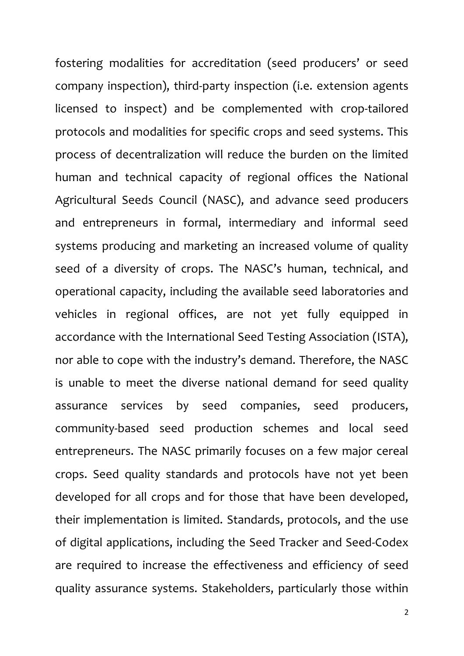fostering modalities for accreditation (seed producers' or seed company inspection), third-party inspection (i.e. extension agents licensed to inspect) and be complemented with crop-tailored protocols and modalities for specific crops and seed systems. This process of decentralization will reduce the burden on the limited human and technical capacity of regional offices the National Agricultural Seeds Council (NASC), and advance seed producers and entrepreneurs in formal, intermediary and informal seed systems producing and marketing an increased volume of quality seed of a diversity of crops. The NASC's human, technical, and operational capacity, including the available seed laboratories and vehicles in regional offices, are not yet fully equipped in accordance with the International Seed Testing Association (ISTA), nor able to cope with the industry's demand. Therefore, the NASC is unable to meet the diverse national demand for seed quality assurance services by seed companies, seed producers, community-based seed production schemes and local seed entrepreneurs. The NASC primarily focuses on a few major cereal crops. Seed quality standards and protocols have not yet been developed for all crops and for those that have been developed, their implementation is limited. Standards, protocols, and the use of digital applications, including the Seed Tracker and Seed-Codex are required to increase the effectiveness and efficiency of seed quality assurance systems. Stakeholders, particularly those within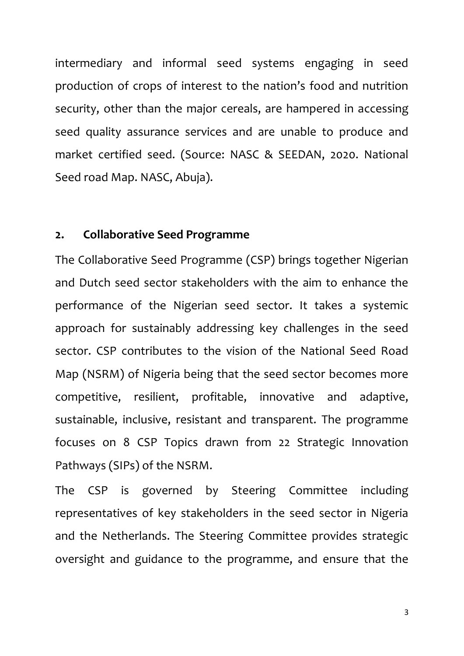intermediary and informal seed systems engaging in seed production of crops of interest to the nation's food and nutrition security, other than the major cereals, are hampered in accessing seed quality assurance services and are unable to produce and market certified seed. (Source: NASC & SEEDAN, 2020. National Seed road Map. NASC, Abuja).

#### **2. Collaborative Seed Programme**

The Collaborative Seed Programme (CSP) brings together Nigerian and Dutch seed sector stakeholders with the aim to enhance the performance of the Nigerian seed sector. It takes a systemic approach for sustainably addressing key challenges in the seed sector. CSP contributes to the vision of the National Seed Road Map (NSRM) of Nigeria being that the seed sector becomes more competitive, resilient, profitable, innovative and adaptive, sustainable, inclusive, resistant and transparent. The programme focuses on 8 CSP Topics drawn from 22 Strategic Innovation Pathways (SIPs) of the NSRM.

The CSP is governed by Steering Committee including representatives of key stakeholders in the seed sector in Nigeria and the Netherlands. The Steering Committee provides strategic oversight and guidance to the programme, and ensure that the

3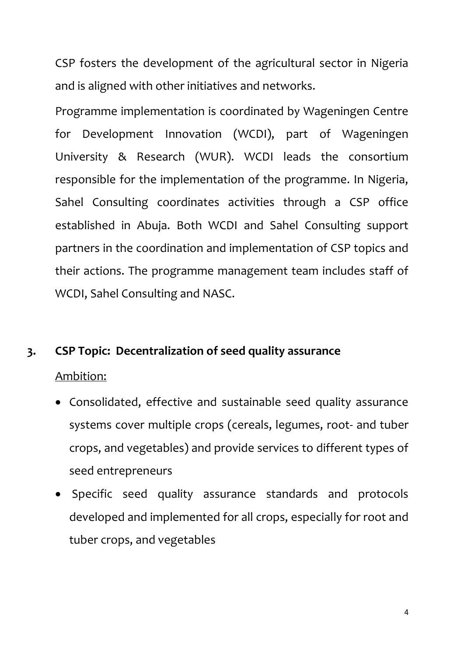CSP fosters the development of the agricultural sector in Nigeria and is aligned with other initiatives and networks.

Programme implementation is coordinated by Wageningen Centre for Development Innovation (WCDI), part of Wageningen University & Research (WUR). WCDI leads the consortium responsible for the implementation of the programme. In Nigeria, Sahel Consulting coordinates activities through a CSP office established in Abuja. Both WCDI and Sahel Consulting support partners in the coordination and implementation of CSP topics and their actions. The programme management team includes staff of WCDI, Sahel Consulting and NASC.

# **3. CSP Topic: Decentralization of seed quality assurance**

# Ambition:

- Consolidated, effective and sustainable seed quality assurance systems cover multiple crops (cereals, legumes, root- and tuber crops, and vegetables) and provide services to different types of seed entrepreneurs
- Specific seed quality assurance standards and protocols developed and implemented for all crops, especially for root and tuber crops, and vegetables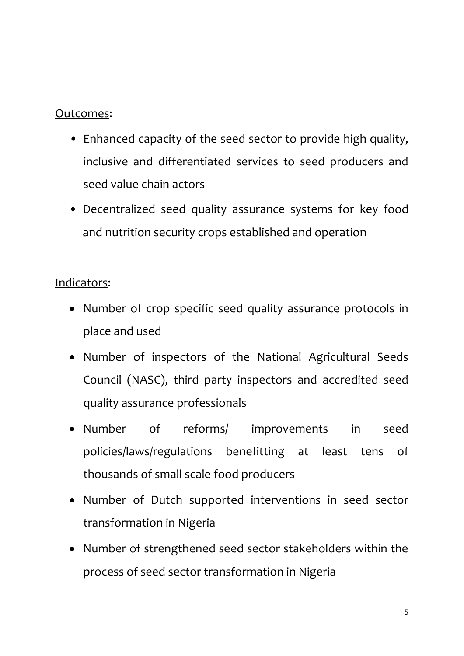#### Outcomes:

- Enhanced capacity of the seed sector to provide high quality, inclusive and differentiated services to seed producers and seed value chain actors
- Decentralized seed quality assurance systems for key food and nutrition security crops established and operation

# Indicators:

- Number of crop specific seed quality assurance protocols in place and used
- Number of inspectors of the National Agricultural Seeds Council (NASC), third party inspectors and accredited seed quality assurance professionals
- Number of reforms/ improvements in seed policies/laws/regulations benefitting at least tens of thousands of small scale food producers
- Number of Dutch supported interventions in seed sector transformation in Nigeria
- Number of strengthened seed sector stakeholders within the process of seed sector transformation in Nigeria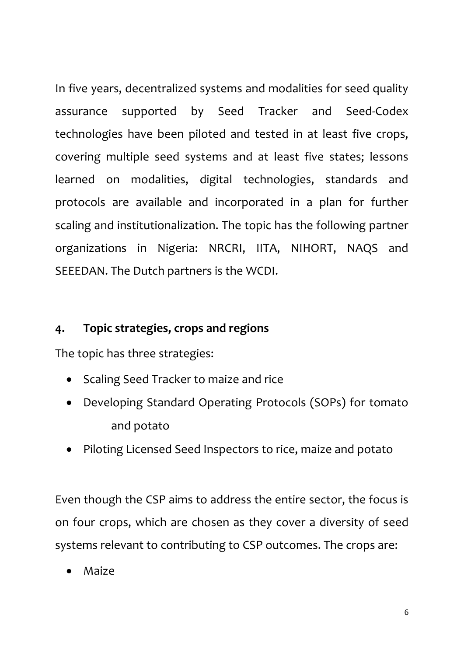In five years, decentralized systems and modalities for seed quality assurance supported by Seed Tracker and Seed-Codex technologies have been piloted and tested in at least five crops, covering multiple seed systems and at least five states; lessons learned on modalities, digital technologies, standards and protocols are available and incorporated in a plan for further scaling and institutionalization. The topic has the following partner organizations in Nigeria: NRCRI, IITA, NIHORT, NAQS and SEEEDAN. The Dutch partners is the WCDI.

# **4. Topic strategies, crops and regions**

The topic has three strategies:

- Scaling Seed Tracker to maize and rice
- Developing Standard Operating Protocols (SOPs) for tomato and potato
- Piloting Licensed Seed Inspectors to rice, maize and potato

Even though the CSP aims to address the entire sector, the focus is on four crops, which are chosen as they cover a diversity of seed systems relevant to contributing to CSP outcomes. The crops are:

Maize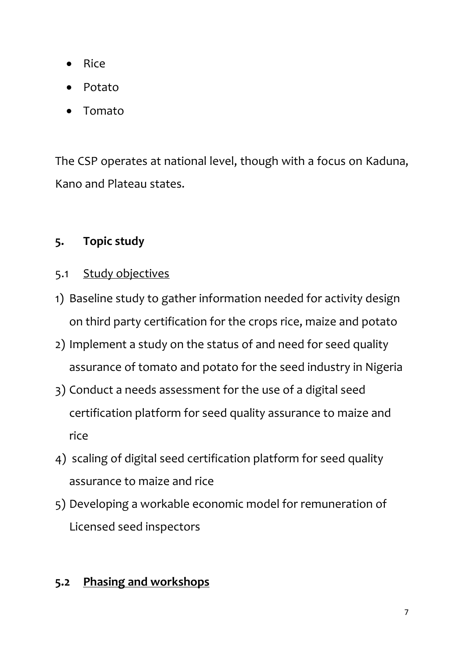- Rice
- Potato
- Tomato

The CSP operates at national level, though with a focus on Kaduna, Kano and Plateau states.

# **5. Topic study**

- 5.1 Study objectives
- 1) Baseline study to gather information needed for activity design on third party certification for the crops rice, maize and potato
- 2) Implement a study on the status of and need for seed quality assurance of tomato and potato for the seed industry in Nigeria
- 3) Conduct a needs assessment for the use of a digital seed certification platform for seed quality assurance to maize and rice
- 4) scaling of digital seed certification platform for seed quality assurance to maize and rice
- 5) Developing a workable economic model for remuneration of Licensed seed inspectors

# **5.2 Phasing and workshops**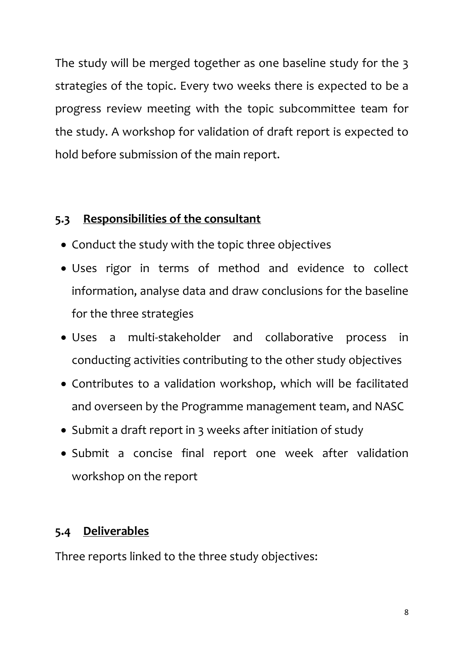The study will be merged together as one baseline study for the 3 strategies of the topic. Every two weeks there is expected to be a progress review meeting with the topic subcommittee team for the study. A workshop for validation of draft report is expected to hold before submission of the main report.

# **5.3 Responsibilities of the consultant**

- Conduct the study with the topic three objectives
- Uses rigor in terms of method and evidence to collect information, analyse data and draw conclusions for the baseline for the three strategies
- Uses a multi-stakeholder and collaborative process in conducting activities contributing to the other study objectives
- Contributes to a validation workshop, which will be facilitated and overseen by the Programme management team, and NASC
- Submit a draft report in 3 weeks after initiation of study
- Submit a concise final report one week after validation workshop on the report

# **5.4 Deliverables**

Three reports linked to the three study objectives: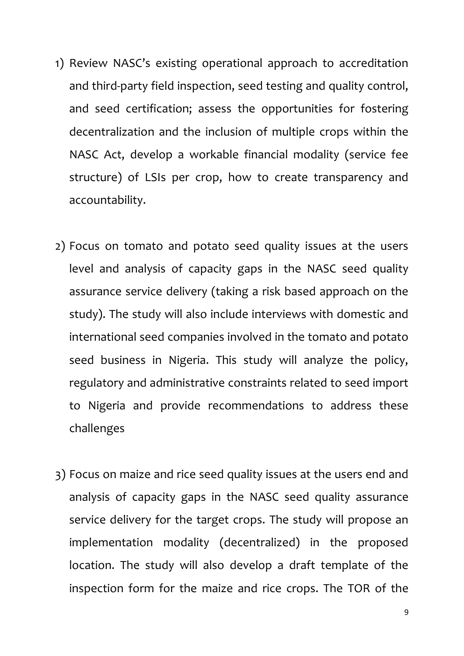- 1) Review NASC's existing operational approach to accreditation and third-party field inspection, seed testing and quality control, and seed certification; assess the opportunities for fostering decentralization and the inclusion of multiple crops within the NASC Act, develop a workable financial modality (service fee structure) of LSIs per crop, how to create transparency and accountability.
- 2) Focus on tomato and potato seed quality issues at the users level and analysis of capacity gaps in the NASC seed quality assurance service delivery (taking a risk based approach on the study). The study will also include interviews with domestic and international seed companies involved in the tomato and potato seed business in Nigeria. This study will analyze the policy, regulatory and administrative constraints related to seed import to Nigeria and provide recommendations to address these challenges
- 3) Focus on maize and rice seed quality issues at the users end and analysis of capacity gaps in the NASC seed quality assurance service delivery for the target crops. The study will propose an implementation modality (decentralized) in the proposed location. The study will also develop a draft template of the inspection form for the maize and rice crops. The TOR of the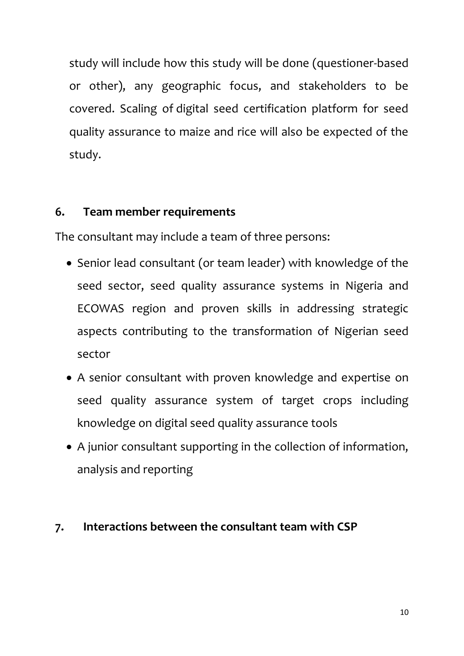study will include how this study will be done (questioner-based or other), any geographic focus, and stakeholders to be covered. Scaling of digital seed certification platform for seed quality assurance to maize and rice will also be expected of the study.

# **6. Team member requirements**

The consultant may include a team of three persons:

- Senior lead consultant (or team leader) with knowledge of the seed sector, seed quality assurance systems in Nigeria and ECOWAS region and proven skills in addressing strategic aspects contributing to the transformation of Nigerian seed sector
- A senior consultant with proven knowledge and expertise on seed quality assurance system of target crops including knowledge on digital seed quality assurance tools
- A junior consultant supporting in the collection of information, analysis and reporting

# **7. Interactions between the consultant team with CSP**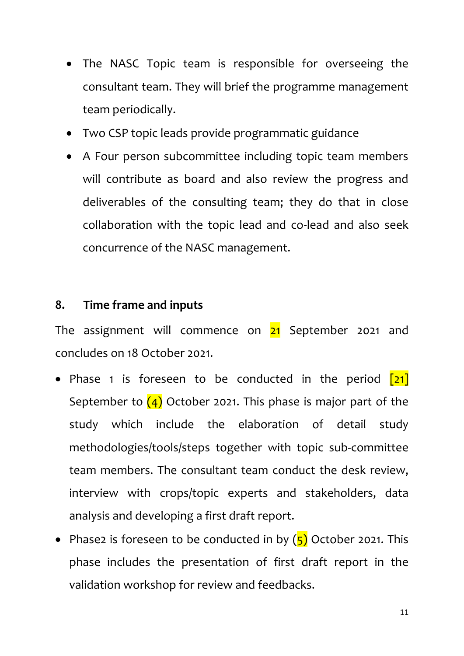- The NASC Topic team is responsible for overseeing the consultant team. They will brief the programme management team periodically.
- Two CSP topic leads provide programmatic guidance
- A Four person subcommittee including topic team members will contribute as board and also review the progress and deliverables of the consulting team; they do that in close collaboration with the topic lead and co-lead and also seek concurrence of the NASC management.

# **8. Time frame and inputs**

The assignment will commence on  $21$  September 2021 and concludes on 18 October 2021.

- Phase 1 is foreseen to be conducted in the period  $\boxed{21}$ September to  $\left(4\right)$  October 2021. This phase is major part of the study which include the elaboration of detail study methodologies/tools/steps together with topic sub-committee team members. The consultant team conduct the desk review, interview with crops/topic experts and stakeholders, data analysis and developing a first draft report.
- Phase2 is foreseen to be conducted in by  $(5)$  October 2021. This phase includes the presentation of first draft report in the validation workshop for review and feedbacks.